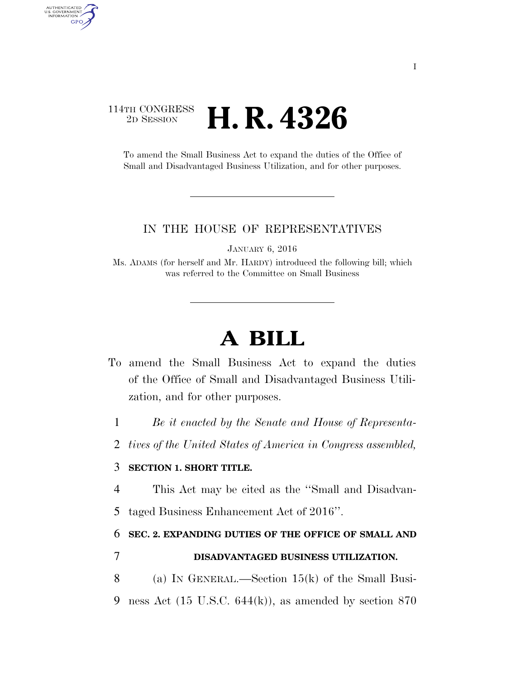## 114TH CONGRESS <sup>2D SESSION</sup> **H. R. 4326**

AUTHENTICATED<br>U.S. GOVERNMENT<br>INFORMATION **GPO** 

> To amend the Small Business Act to expand the duties of the Office of Small and Disadvantaged Business Utilization, and for other purposes.

#### IN THE HOUSE OF REPRESENTATIVES

JANUARY 6, 2016

Ms. ADAMS (for herself and Mr. HARDY) introduced the following bill; which was referred to the Committee on Small Business

# **A BILL**

- To amend the Small Business Act to expand the duties of the Office of Small and Disadvantaged Business Utilization, and for other purposes.
	- 1 *Be it enacted by the Senate and House of Representa-*
	- 2 *tives of the United States of America in Congress assembled,*

### 3 **SECTION 1. SHORT TITLE.**

4 This Act may be cited as the ''Small and Disadvan-

5 taged Business Enhancement Act of 2016''.

6 **SEC. 2. EXPANDING DUTIES OF THE OFFICE OF SMALL AND** 

### 7 **DISADVANTAGED BUSINESS UTILIZATION.**

8 (a) IN GENERAL.—Section 15(k) of the Small Busi-9 ness Act (15 U.S.C. 644(k)), as amended by section 870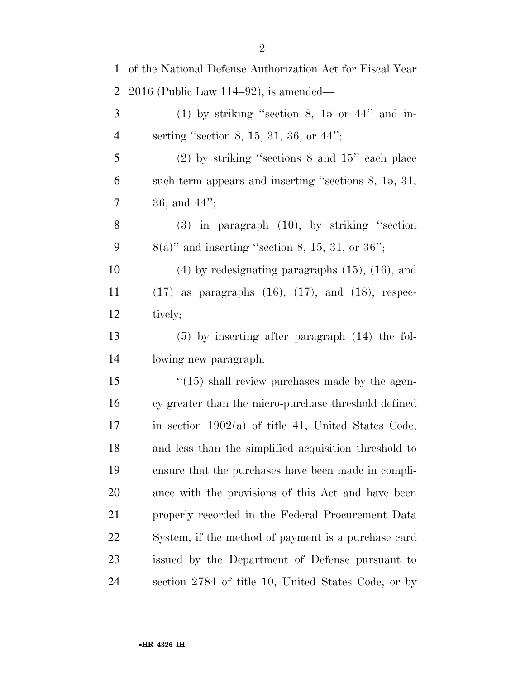| $\mathbf{1}$   | of the National Defense Authorization Act for Fiscal Year   |
|----------------|-------------------------------------------------------------|
| $\overline{2}$ | $2016$ (Public Law 114–92), is amended—                     |
| 3              | $(1)$ by striking "section 8, 15 or 44" and in-             |
| $\overline{4}$ | serting "section 8, 15, 31, 36, or $44$ ";                  |
| 5              | $(2)$ by striking "sections 8 and $15$ " each place         |
| 6              | such term appears and inserting "sections 8, 15, 31,        |
| 7              | 36, and $44$ ";                                             |
| $8\phantom{1}$ | $(3)$ in paragraph $(10)$ , by striking "section            |
| 9              | $8(a)$ " and inserting "section 8, 15, 31, or 36";          |
| 10             | $(4)$ by redesignating paragraphs $(15)$ , $(16)$ , and     |
| 11             | $(17)$ as paragraphs $(16)$ , $(17)$ , and $(18)$ , respec- |
| 12             | tively;                                                     |
| 13             | $(5)$ by inserting after paragraph $(14)$ the fol-          |
| 14             | lowing new paragraph:                                       |
| 15             | $\lq(15)$ shall review purchases made by the agen-          |
| 16             | cy greater than the micro-purchase threshold defined        |
| 17             | in section $1902(a)$ of title 41, United States Code,       |
| 18             | and less than the simplified acquisition threshold to       |
| 19             | ensure that the purchases have been made in compli-         |
| 20             | ance with the provisions of this Act and have been          |
| 21             | properly recorded in the Federal Procurement Data           |
| 22             | System, if the method of payment is a purchase card         |
| 23             | issued by the Department of Defense pursuant to             |
| 24             | section 2784 of title 10, United States Code, or by         |